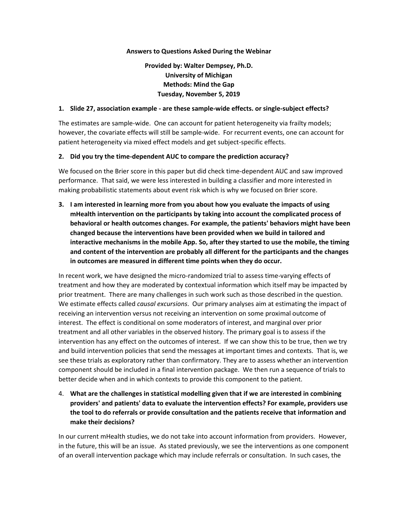### **Answers to Questions Asked During the Webinar**

# **Provided by: Walter Dempsey, Ph.D. University of Michigan Methods: Mind the Gap Tuesday, November 5, 2019**

### **1. Slide 27, association example - are these sample-wide effects. or single-subject effects?**

The estimates are sample-wide. One can account for patient heterogeneity via frailty models; however, the covariate effects will still be sample-wide. For recurrent events, one can account for patient heterogeneity via mixed effect models and get subject-specific effects.

## **2. Did you try the time-dependent AUC to compare the prediction accuracy?**

We focused on the Brier score in this paper but did check time-dependent AUC and saw improved performance. That said, we were less interested in building a classifier and more interested in making probabilistic statements about event risk which is why we focused on Brier score.

**3. I am interested in learning more from you about how you evaluate the impacts of using mHealth intervention on the participants by taking into account the complicated process of behavioral or health outcomes changes. For example, the patients' behaviors might have been changed because the interventions have been provided when we build in tailored and interactive mechanisms in the mobile App. So, after they started to use the mobile, the timing and content of the intervention are probably all different for the participants and the changes in outcomes are measured in different time points when they do occur.**

In recent work, we have designed the micro-randomized trial to assess time-varying effects of treatment and how they are moderated by contextual information which itself may be impacted by prior treatment. There are many challenges in such work such as those described in the question. We estimate effects called *causal excursions*. Our primary analyses aim at estimating the impact of receiving an intervention versus not receiving an intervention on some proximal outcome of interest. The effect is conditional on some moderators of interest, and marginal over prior treatment and all other variables in the observed history. The primary goal is to assess if the intervention has any effect on the outcomes of interest. If we can show this to be true, then we try and build intervention policies that send the messages at important times and contexts. That is, we see these trials as exploratory rather than confirmatory. They are to assess whether an intervention component should be included in a final intervention package. We then run a sequence of trials to better decide when and in which contexts to provide this component to the patient.

4. **What are the challenges in statistical modelling given that if we are interested in combining providers' and patients' data to evaluate the intervention effects? For example, providers use the tool to do referrals or provide consultation and the patients receive that information and make their decisions?**

In our current mHealth studies, we do not take into account information from providers. However, in the future, this will be an issue. As stated previously, we see the interventions as one component of an overall intervention package which may include referrals or consultation. In such cases, the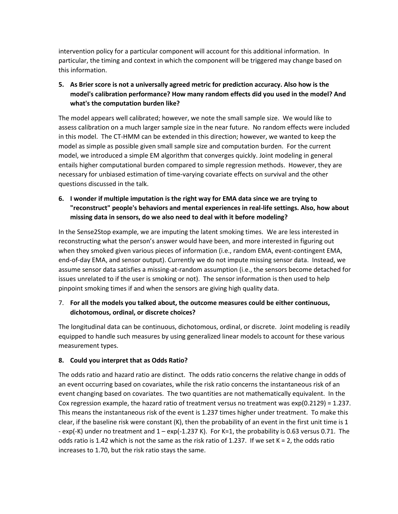intervention policy for a particular component will account for this additional information. In particular, the timing and context in which the component will be triggered may change based on this information.

**5. As Brier score is not a universally agreed metric for prediction accuracy. Also how is the model's calibration performance? How many random effects did you used in the model? And what's the computation burden like?**

The model appears well calibrated; however, we note the small sample size. We would like to assess calibration on a much larger sample size in the near future. No random effects were included in this model. The CT-HMM can be extended in this direction; however, we wanted to keep the model as simple as possible given small sample size and computation burden. For the current model, we introduced a simple EM algorithm that converges quickly. Joint modeling in general entails higher computational burden compared to simple regression methods. However, they are necessary for unbiased estimation of time-varying covariate effects on survival and the other questions discussed in the talk.

**6. I wonder if multiple imputation is the right way for EMA data since we are trying to "reconstruct" people's behaviors and mental experiences in real-life settings. Also, how about missing data in sensors, do we also need to deal with it before modeling?** 

In the Sense2Stop example, we are imputing the latent smoking times. We are less interested in reconstructing what the person's answer would have been, and more interested in figuring out when they smoked given various pieces of information (i.e., random EMA, event-contingent EMA, end-of-day EMA, and sensor output). Currently we do not impute missing sensor data. Instead, we assume sensor data satisfies a missing-at-random assumption (i.e., the sensors become detached for issues unrelated to if the user is smoking or not). The sensor information is then used to help pinpoint smoking times if and when the sensors are giving high quality data.

# 7. **For all the models you talked about, the outcome measures could be either continuous, dichotomous, ordinal, or discrete choices?**

The longitudinal data can be continuous, dichotomous, ordinal, or discrete. Joint modeling is readily equipped to handle such measures by using generalized linear models to account for these various measurement types.

# **8. Could you interpret that as Odds Ratio?**

The odds ratio and hazard ratio are distinct. The odds ratio concerns the relative change in odds of an event occurring based on covariates, while the risk ratio concerns the instantaneous risk of an event changing based on covariates. The two quantities are not mathematically equivalent. In the Cox regression example, the hazard ratio of treatment versus no treatment was exp(0.2129) = 1.237. This means the instantaneous risk of the event is 1.237 times higher under treatment. To make this clear, if the baseline risk were constant (K), then the probability of an event in the first unit time is 1 - exp(-K) under no treatment and 1 – exp(-1.237 K). For K=1, the probability is 0.63 versus 0.71. The odds ratio is 1.42 which is not the same as the risk ratio of 1.237. If we set  $K = 2$ , the odds ratio increases to 1.70, but the risk ratio stays the same.